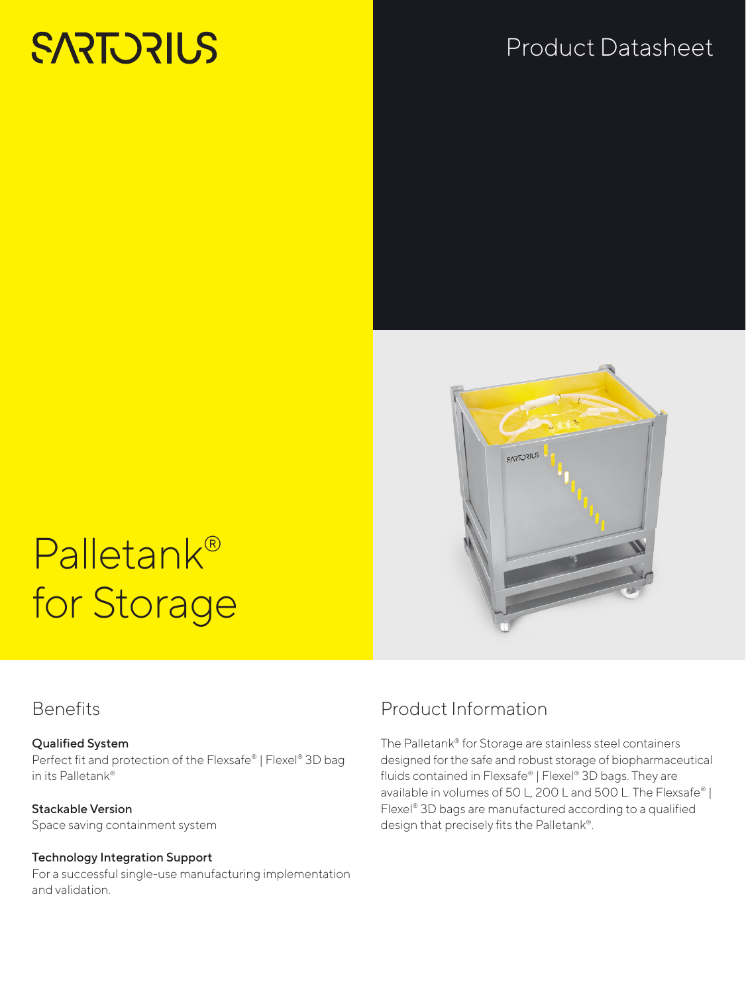# **SARTORIUS**

# Product Datasheet



# Palletank® for Storage

#### **Benefits**

#### Qualified System

Perfect fit and protection of the Flexsafe® | Flexel® 3D bag in its Palletank®

Stackable Version Space saving containment system

#### Technology Integration Support

For a successful single-use manufacturing implementation and validation.

## Product Information

The Palletank® for Storage are stainless steel containers designed for the safe and robust storage of biopharmaceutical fluids contained in Flexsafe® | Flexel® 3D bags. They are available in volumes of 50 L, 200 L and 500 L. The Flexsafe® | Flexel® 3D bags are manufactured according to a qualified design that precisely fits the Palletank®.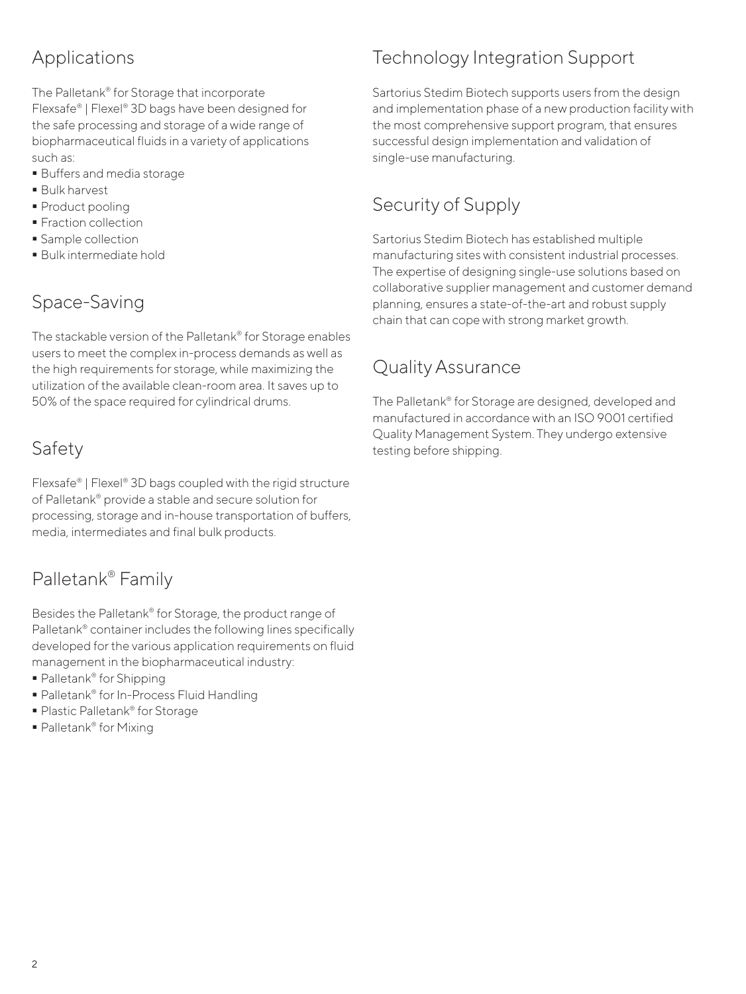### Applications

The Palletank® for Storage that incorporate Flexsafe® | Flexel® 3D bags have been designed for the safe processing and storage of a wide range of biopharmaceutical fluids in a variety of applications such as:

- Buffers and media storage
- Bulk harvest
- Product pooling
- **Fraction collection**
- **Sample collection**
- Bulk intermediate hold

#### Space-Saving

The stackable version of the Palletank® for Storage enables users to meet the complex in-process demands as well as the high requirements for storage, while maximizing the utilization of the available clean-room area. It saves up to 50% of the space required for cylindrical drums.

#### Safety

Flexsafe® | Flexel® 3D bags coupled with the rigid structure of Palletank® provide a stable and secure solution for processing, storage and in-house transportation of buffers, media, intermediates and final bulk products.

#### Palletank® Family

Besides the Palletank® for Storage, the product range of Palletank® container includes the following lines specifically developed for the various application requirements on fluid management in the biopharmaceutical industry:

- Palletank<sup>®</sup> for Shipping
- Palletank® for In-Process Fluid Handling
- Plastic Palletank<sup>®</sup> for Storage
- Palletank<sup>®</sup> for Mixing

## Technology Integration Support

Sartorius Stedim Biotech supports users from the design and implementation phase of a new production facility with the most comprehensive support program, that ensures successful design implementation and validation of single-use manufacturing.

#### Security of Supply

Sartorius Stedim Biotech has established multiple manufacturing sites with consistent industrial processes. The expertise of designing single-use solutions based on collaborative supplier management and customer demand planning, ensures a state-of-the-art and robust supply chain that can cope with strong market growth.

#### Quality Assurance

The Palletank® for Storage are designed, developed and manufactured in accordance with an ISO 9001 certified Quality Management System. They undergo extensive testing before shipping.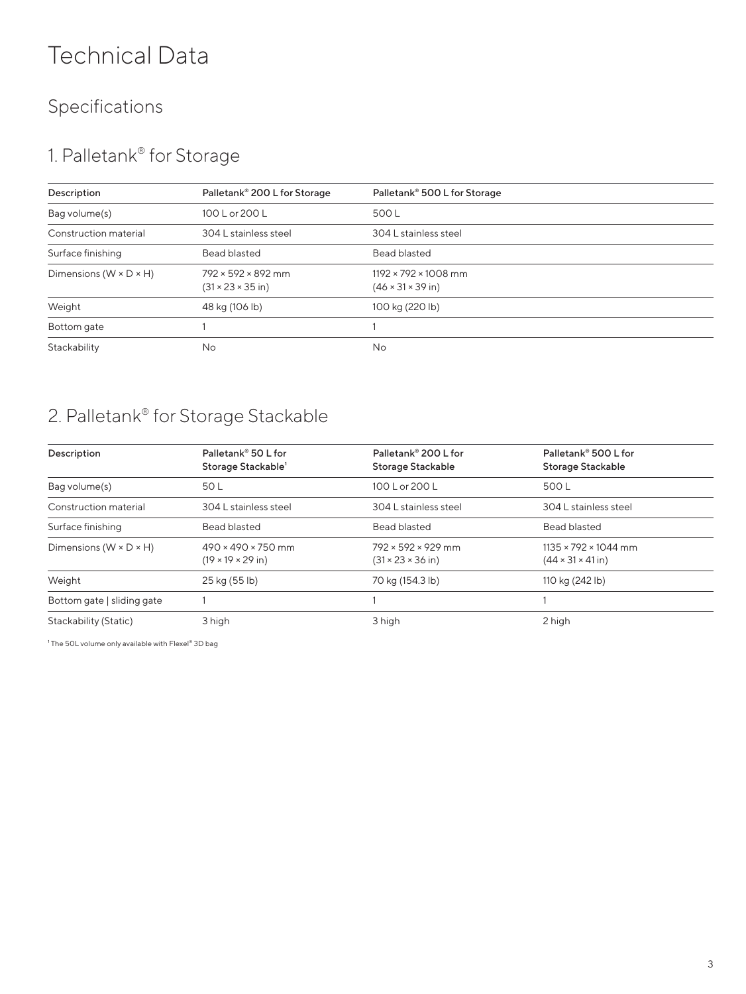# Technical Data

## Specifications

## 1. Palletank® for Storage

| Description                          | Palletank® 200 L for Storage                                     | Palletank® 500 L for Storage                                       |
|--------------------------------------|------------------------------------------------------------------|--------------------------------------------------------------------|
| Bag volume(s)                        | 100 L or 200 L                                                   | 500 L                                                              |
| Construction material                | 304 L stainless steel                                            | 304 L stainless steel                                              |
| Surface finishing                    | <b>Bead blasted</b>                                              | <b>Bead blasted</b>                                                |
| Dimensions ( $W \times D \times H$ ) | $792 \times 592 \times 892$ mm<br>$(31 \times 23 \times 35)$ in) | $1192 \times 792 \times 1008$ mm<br>$(46 \times 31 \times 39)$ in) |
| Weight                               | 48 kg (106 lb)                                                   | 100 kg (220 lb)                                                    |
| Bottom gate                          |                                                                  |                                                                    |
| Stackability                         | No                                                               | No                                                                 |

## 2. Palletank® for Storage Stackable

| Description                          | Palletank <sup>®</sup> 50 L for | Palletank® 200 L for           | Palletank® 500 L for             |  |
|--------------------------------------|---------------------------------|--------------------------------|----------------------------------|--|
|                                      | Storage Stackable'              | Storage Stackable              | Storage Stackable                |  |
| Bag volume(s)                        | 50 L                            | 100 L or 200 L                 | 500 L                            |  |
| Construction material                | 304 L stainless steel           | 304 L stainless steel          | 304 L stainless steel            |  |
| Surface finishing                    | Bead blasted                    | Bead blasted                   | Bead blasted                     |  |
| Dimensions ( $W \times D \times H$ ) | $490 \times 490 \times 750$ mm  | 792 × 592 × 929 mm             | $1135 \times 792 \times 1044$ mm |  |
|                                      | $(19 \times 19 \times 29)$ in)  | $(31 \times 23 \times 36)$ in) | $(44 \times 31 \times 41)$ in)   |  |
| Weight                               | 25 kg (55 lb)                   | 70 kg (154.3 lb)               | 110 kg (242 lb)                  |  |
| Bottom gate   sliding gate           |                                 |                                |                                  |  |
| Stackability (Static)                | 3 high                          | 3 high                         | 2 high                           |  |

<sup>1</sup> The 50L volume only available with Flexel<sup>®</sup> 3D bag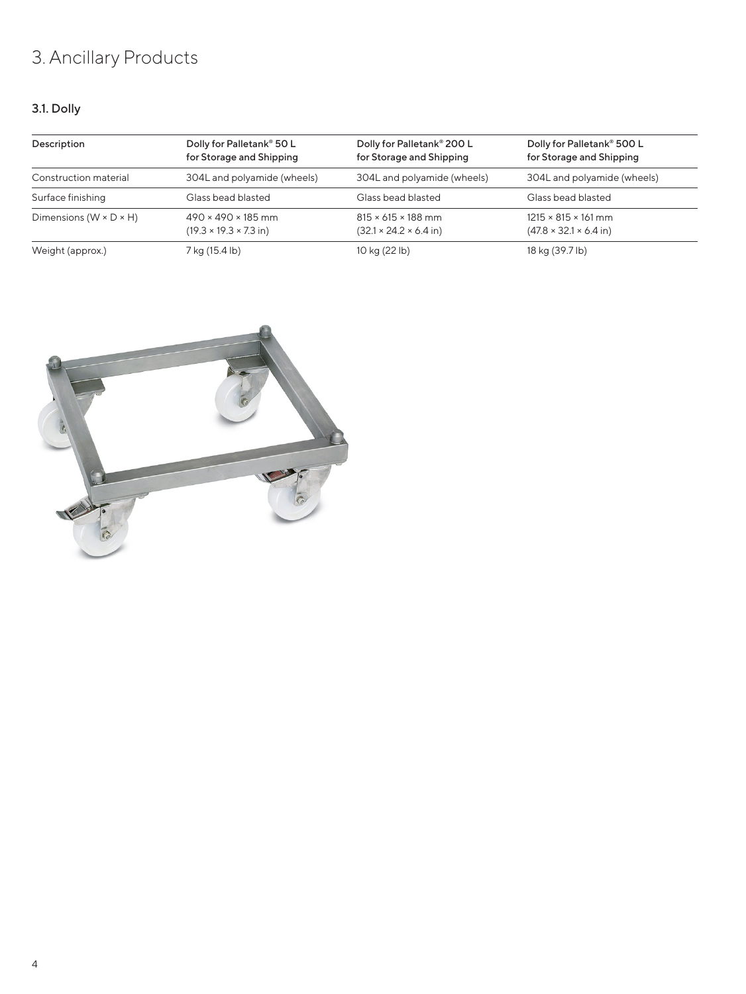## 3. Ancillary Products

#### 3.1. Dolly

| Description                          | Dolly for Palletank® 50 L<br>for Storage and Shipping                        | Dolly for Palletank® 200 L<br>for Storage and Shipping                       | Dolly for Palletank® 500 L<br>for Storage and Shipping                        |
|--------------------------------------|------------------------------------------------------------------------------|------------------------------------------------------------------------------|-------------------------------------------------------------------------------|
| Construction material                | 304L and polyamide (wheels)                                                  | 304L and polyamide (wheels)                                                  | 304L and polyamide (wheels)                                                   |
| Surface finishing                    | Glass bead blasted                                                           | Glass bead blasted                                                           | Glass bead blasted                                                            |
| Dimensions ( $W \times D \times H$ ) | $490 \times 490 \times 185$ mm<br>$(19.3 \times 19.3 \times 7.3 \text{ in})$ | $815 \times 615 \times 188$ mm<br>$(32.1 \times 24.2 \times 6.4 \text{ in})$ | $1215 \times 815 \times 161$ mm<br>$(47.8 \times 32.1 \times 6.4 \text{ in})$ |
| Weight (approx.)                     | 7 kg (15.4 lb)                                                               | 10 kg (22 lb)                                                                | 18 kg (39.7 lb)                                                               |

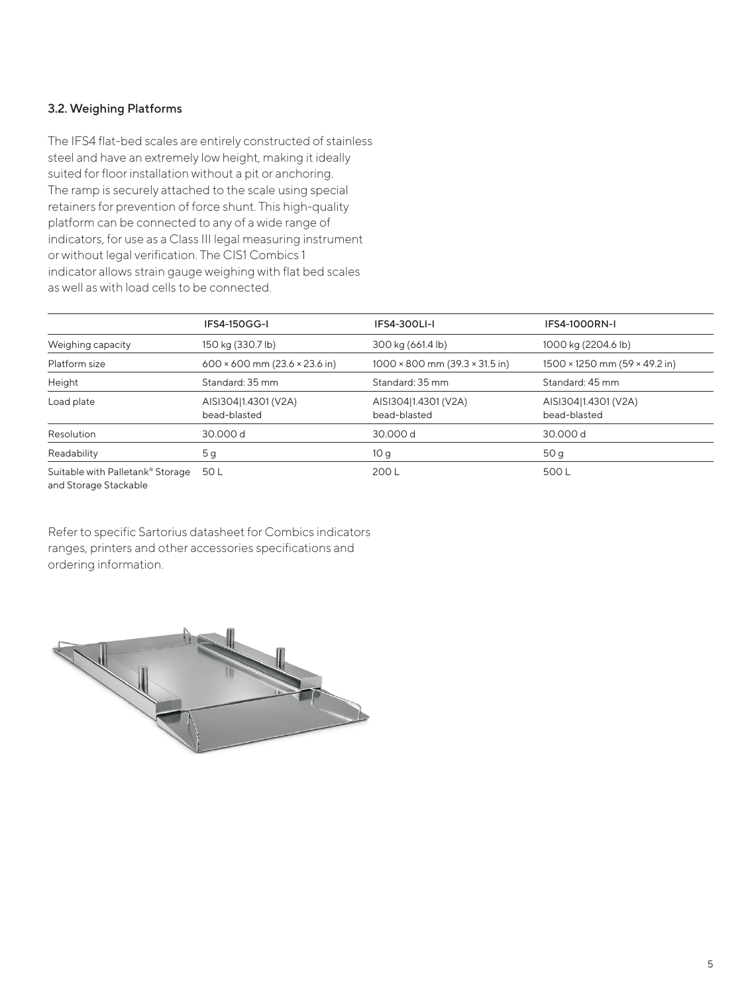#### 3.2. Weighing Platforms

The IFS4 flat-bed scales are entirely constructed of stainless steel and have an extremely low height, making it ideally suited for floor installation without a pit or anchoring. The ramp is securely attached to the scale using special retainers for prevention of force shunt. This high-quality platform can be connected to any of a wide range of indicators, for use as a Class III legal measuring instrument or without legal verification. The CIS1 Combics 1 indicator allows strain gauge weighing with flat bed scales as well as with load cells to be connected.

|                                                           | IFS4-150GG-I                                | <b>IFS4-300LI-I</b>                          | <b>IFS4-1000RN-I</b>                        |
|-----------------------------------------------------------|---------------------------------------------|----------------------------------------------|---------------------------------------------|
| Weighing capacity                                         | 150 kg (330.7 lb)                           | 300 kg (661.4 lb)                            | 1000 kg (2204.6 lb)                         |
| Platform size                                             | $600 \times 600$ mm (23.6 $\times$ 23.6 in) | $1000 \times 800$ mm $(39.3 \times 31.5)$ in | $1500 \times 1250$ mm (59 $\times$ 49.2 in) |
| Height                                                    | Standard: 35 mm                             | Standard: 35 mm                              | Standard: 45 mm                             |
| Load plate                                                | AISI304 1.4301 (V2A)<br>bead-blasted        | AISI304 1.4301 (V2A)<br>bead-blasted         | AISI304 1.4301 (V2A)<br>bead-blasted        |
| Resolution                                                | 30,000 d                                    | 30,000 d                                     | 30,000 d                                    |
| Readability                                               | 5g                                          | 10 <sub>q</sub>                              | 50 g                                        |
| Suitable with Palletank® Storage<br>and Storage Stackable | 50 L                                        | 200L                                         | 500L                                        |

Refer to specific Sartorius datasheet for Combics indicators ranges, printers and other accessories specifications and ordering information.

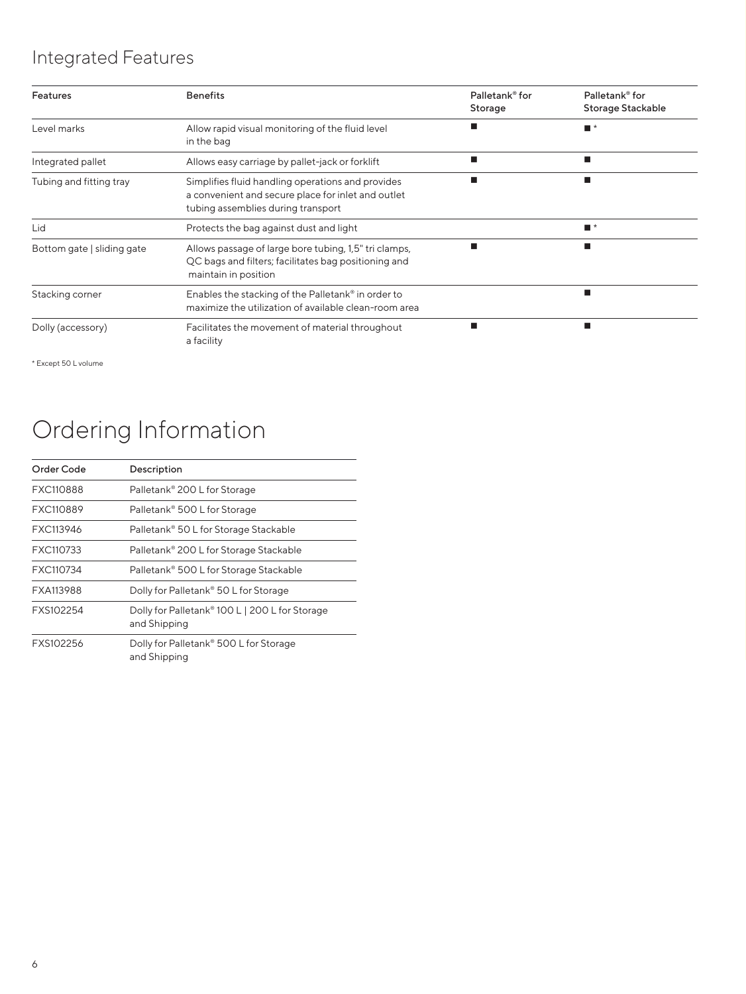## Integrated Features

| <b>Features</b>            | <b>Benefits</b>                                                                                                                               | Palletank <sup>®</sup> for<br>Storage | Palletank <sup>®</sup> for<br>Storage Stackable |
|----------------------------|-----------------------------------------------------------------------------------------------------------------------------------------------|---------------------------------------|-------------------------------------------------|
| Level marks                | Allow rapid visual monitoring of the fluid level<br>in the bag                                                                                |                                       | $\blacksquare$ *                                |
| Integrated pallet          | Allows easy carriage by pallet-jack or forklift                                                                                               |                                       | ш                                               |
| Tubing and fitting tray    | Simplifies fluid handling operations and provides<br>a convenient and secure place for inlet and outlet<br>tubing assemblies during transport |                                       |                                                 |
| Lid                        | Protects the bag against dust and light                                                                                                       |                                       | $\blacksquare$ *                                |
| Bottom gate   sliding gate | Allows passage of large bore tubing, 1,5" tri clamps,<br>QC bags and filters; facilitates bag positioning and<br>maintain in position         | п                                     | п                                               |
| Stacking corner            | Enables the stacking of the Palletank® in order to<br>maximize the utilization of available clean-room area                                   |                                       | ш                                               |
| Dolly (accessory)          | Facilitates the movement of material throughout<br>a facility                                                                                 |                                       |                                                 |

\* Except 50 L volume

# Ordering Information

| Order Code | Description                                                        |
|------------|--------------------------------------------------------------------|
| FXC110888  | Palletank® 200 L for Storage                                       |
| FXC110889  | Palletank® 500 L for Storage                                       |
| FXC113946  | Palletank® 50 L for Storage Stackable                              |
| FXC110733  | Palletank® 200 L for Storage Stackable                             |
| FXC110734  | Palletank <sup>®</sup> 500 L for Storage Stackable                 |
| FXA113988  | Dolly for Palletank® 50 L for Storage                              |
| FXS102254  | Dolly for Palletank® 100 L   200 L for Storage<br>and Shipping     |
| FXS102256  | Dolly for Palletank <sup>®</sup> 500 L for Storage<br>and Shipping |